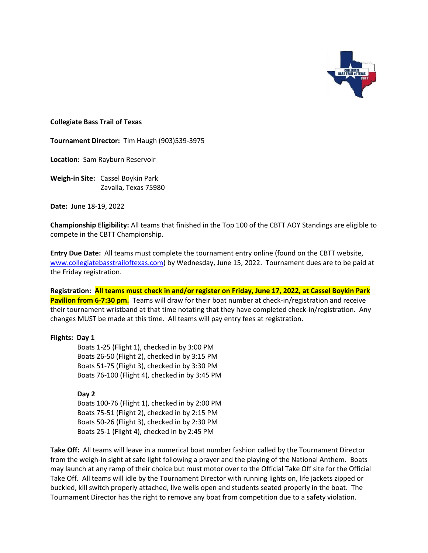

#### **Collegiate Bass Trail of Texas**

**Tournament Director:** Tim Haugh (903)539-3975

**Location:** Sam Rayburn Reservoir

**Weigh-in Site:** Cassel Boykin Park Zavalla, Texas 75980

**Date:** June 18-19, 2022

**Championship Eligibility:** All teams that finished in the Top 100 of the CBTT AOY Standings are eligible to compete in the CBTT Championship.

**Entry Due Date:** All teams must complete the tournament entry online (found on the CBTT website, [www.collegiatebasstrailoftexas.com\)](http://www.collegiatebasstrailoftexas.com/) by Wednesday, June 15, 2022. Tournament dues are to be paid at the Friday registration.

**Registration: All teams must check in and/or register on Friday, June 17, 2022, at Cassel Boykin Park Pavilion from 6-7:30 pm.** Teams will draw for their boat number at check-in/registration and receive their tournament wristband at that time notating that they have completed check-in/registration. Any changes MUST be made at this time. All teams will pay entry fees at registration.

#### **Flights: Day 1**

Boats 1-25 (Flight 1), checked in by 3:00 PM Boats 26-50 (Flight 2), checked in by 3:15 PM Boats 51-75 (Flight 3), checked in by 3:30 PM Boats 76-100 (Flight 4), checked in by 3:45 PM

### **Day 2**

Boats 100-76 (Flight 1), checked in by 2:00 PM Boats 75-51 (Flight 2), checked in by 2:15 PM Boats 50-26 (Flight 3), checked in by 2:30 PM Boats 25-1 (Flight 4), checked in by 2:45 PM

**Take Off:** All teams will leave in a numerical boat number fashion called by the Tournament Director from the weigh-in sight at safe light following a prayer and the playing of the National Anthem. Boats may launch at any ramp of their choice but must motor over to the Official Take Off site for the Official Take Off. All teams will idle by the Tournament Director with running lights on, life jackets zipped or buckled, kill switch properly attached, live wells open and students seated properly in the boat. The Tournament Director has the right to remove any boat from competition due to a safety violation.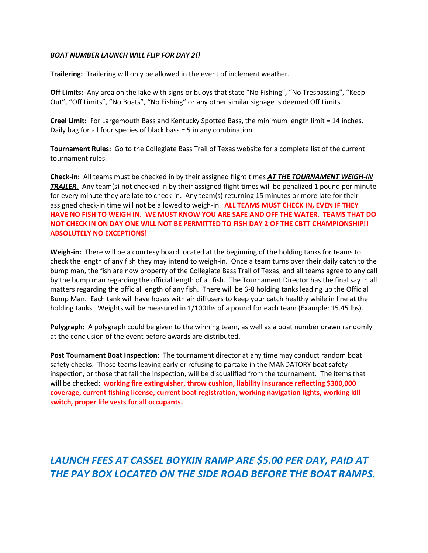#### *BOAT NUMBER LAUNCH WILL FLIP FOR DAY 2!!*

**Trailering:** Trailering will only be allowed in the event of inclement weather.

**Off Limits:** Any area on the lake with signs or buoys that state "No Fishing", "No Trespassing", "Keep Out", "Off Limits", "No Boats", "No Fishing" or any other similar signage is deemed Off Limits.

**Creel Limit:** For Largemouth Bass and Kentucky Spotted Bass, the minimum length limit = 14 inches. Daily bag for all four species of black bass = 5 in any combination.

**Tournament Rules:** Go to the Collegiate Bass Trail of Texas website for a complete list of the current tournament rules.

**Check-in:** All teams must be checked in by their assigned flight times *AT THE TOURNAMENT WEIGH-IN*  **TRAILER.** Any team(s) not checked in by their assigned flight times will be penalized 1 pound per minute for every minute they are late to check-in. Any team(s) returning 15 minutes or more late for their assigned check-in time will not be allowed to weigh-in. **ALL TEAMS MUST CHECK IN, EVEN IF THEY HAVE NO FISH TO WEIGH IN. WE MUST KNOW YOU ARE SAFE AND OFF THE WATER. TEAMS THAT DO NOT CHECK IN ON DAY ONE WILL NOT BE PERMITTED TO FISH DAY 2 OF THE CBTT CHAMPIONSHIP!! ABSOLUTELY NO EXCEPTIONS!**

**Weigh-in:** There will be a courtesy board located at the beginning of the holding tanks for teams to check the length of any fish they may intend to weigh-in. Once a team turns over their daily catch to the bump man, the fish are now property of the Collegiate Bass Trail of Texas, and all teams agree to any call by the bump man regarding the official length of all fish. The Tournament Director has the final say in all matters regarding the official length of any fish. There will be 6-8 holding tanks leading up the Official Bump Man. Each tank will have hoses with air diffusers to keep your catch healthy while in line at the holding tanks. Weights will be measured in 1/100ths of a pound for each team (Example: 15.45 lbs).

**Polygraph:** A polygraph could be given to the winning team, as well as a boat number drawn randomly at the conclusion of the event before awards are distributed.

**Post Tournament Boat Inspection:** The tournament director at any time may conduct random boat safety checks. Those teams leaving early or refusing to partake in the MANDATORY boat safety inspection, or those that fail the inspection, will be disqualified from the tournament. The items that will be checked: **working fire extinguisher, throw cushion, liability insurance reflecting \$300,000 coverage, current fishing license, current boat registration, working navigation lights, working kill switch, proper life vests for all occupants.**

## *LAUNCH FEES AT CASSEL BOYKIN RAMP ARE \$5.00 PER DAY, PAID AT THE PAY BOX LOCATED ON THE SIDE ROAD BEFORE THE BOAT RAMPS.*